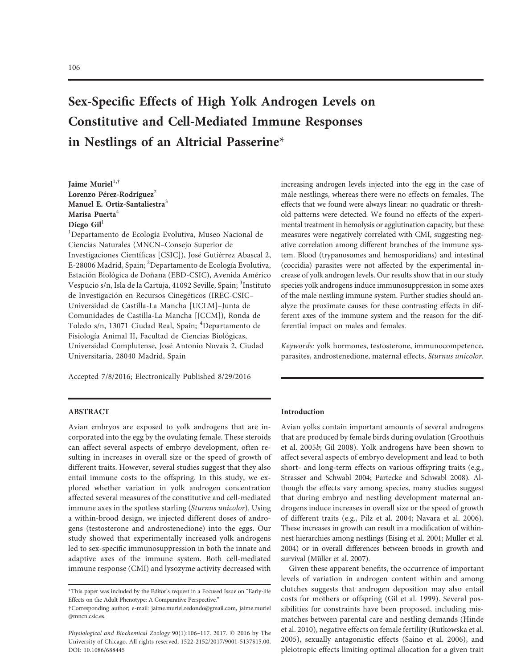# Sex-Specific Effects of High Yolk Androgen Levels on Constitutive and Cell-Mediated Immune Responses in Nestlings of an Altricial Passerine\*

Jaime Muriel<sup>1,†</sup> Lorenzo Pérez-Rodríguez<sup>2</sup> Manuel E. Ortiz-Santaliestra<sup>3</sup> Marisa Puerta<sup>4</sup> Diego  $Gi<sup>1</sup>$ 

<sup>1</sup>Departamento de Ecología Evolutiva, Museo Nacional de Ciencias Naturales (MNCN–Consejo Superior de Investigaciones Científicas [CSIC]), José Gutiérrez Abascal 2, E-28006 Madrid, Spain; <sup>2</sup>Departamento de Ecología Evolutiva, Estación Biológica de Doñana (EBD-CSIC), Avenida Américo Vespucio s/n, Isla de la Cartuja, 41092 Seville, Spain; <sup>3</sup>Instituto de Investigación en Recursos Cinegéticos (IREC-CSIC– Universidad de Castilla-La Mancha [UCLM]–Junta de Comunidades de Castilla-La Mancha [JCCM]), Ronda de Toledo s/n, 13071 Ciudad Real, Spain; <sup>4</sup>Departamento de Fisiología Animal II, Facultad de Ciencias Biológicas, Universidad Complutense, José Antonio Novais 2, Ciudad Universitaria, 28040 Madrid, Spain

Accepted 7/8/2016; Electronically Published 8/29/2016

increasing androgen levels injected into the egg in the case of male nestlings, whereas there were no effects on females. The effects that we found were always linear: no quadratic or threshold patterns were detected. We found no effects of the experimental treatment in hemolysis or agglutination capacity, but these measures were negatively correlated with CMI, suggesting negative correlation among different branches of the immune system. Blood (trypanosomes and hemosporidians) and intestinal (coccidia) parasites were not affected by the experimental increase of yolk androgen levels. Our results show that in our study species yolk androgens induce immunosuppression in some axes of the male nestling immune system. Further studies should analyze the proximate causes for these contrasting effects in different axes of the immune system and the reason for the differential impact on males and females.

Keywords: yolk hormones, testosterone, immunocompetence, parasites, androstenedione, maternal effects, Sturnus unicolor.

#### ABSTRACT

Avian embryos are exposed to yolk androgens that are incorporated into the egg by the ovulating female. These steroids can affect several aspects of embryo development, often resulting in increases in overall size or the speed of growth of different traits. However, several studies suggest that they also entail immune costs to the offspring. In this study, we explored whether variation in yolk androgen concentration affected several measures of the constitutive and cell-mediated immune axes in the spotless starling (Sturnus unicolor). Using a within-brood design, we injected different doses of androgens (testosterone and androstenedione) into the eggs. Our study showed that experimentally increased yolk androgens led to sex-specific immunosuppression in both the innate and adaptive axes of the immune system. Both cell-mediated immune response (CMI) and lysozyme activity decreased with

# Introduction

Avian yolks contain important amounts of several androgens that are produced by female birds during ovulation (Groothuis et al. 2005b; Gil 2008). Yolk androgens have been shown to affect several aspects of embryo development and lead to both short- and long-term effects on various offspring traits (e.g., Strasser and Schwabl 2004; Partecke and Schwabl 2008). Although the effects vary among species, many studies suggest that during embryo and nestling development maternal androgens induce increases in overall size or the speed of growth of different traits (e.g., Pilz et al. 2004; Navara et al. 2006). These increases in growth can result in a modification of withinnest hierarchies among nestlings (Eising et al. 2001; Müller et al. 2004) or in overall differences between broods in growth and survival (Müller et al. 2007).

Given these apparent benefits, the occurrence of important levels of variation in androgen content within and among clutches suggests that androgen deposition may also entail costs for mothers or offspring (Gil et al. 1999). Several possibilities for constraints have been proposed, including mismatches between parental care and nestling demands (Hinde et al. 2010), negative effects on female fertility (Rutkowska et al. 2005), sexually antagonistic effects (Saino et al. 2006), and pleiotropic effects limiting optimal allocation for a given trait

<sup>\*</sup>This paper was included by the Editor's request in a Focused Issue on "Early-life Effects on the Adult Phenotype: A Comparative Perspective."

<sup>†</sup>Corresponding author; e-mail: jaime.muriel.redondo@gmail.com, jaime.muriel @mncn.csic.es.

Physiological and Biochemical Zoology 90(1):106-117. 2017.  $©$  2016 by The University of Chicago. All rights reserved. 1522-2152/2017/9001-5137\$15.00. DOI: 10.1086/688445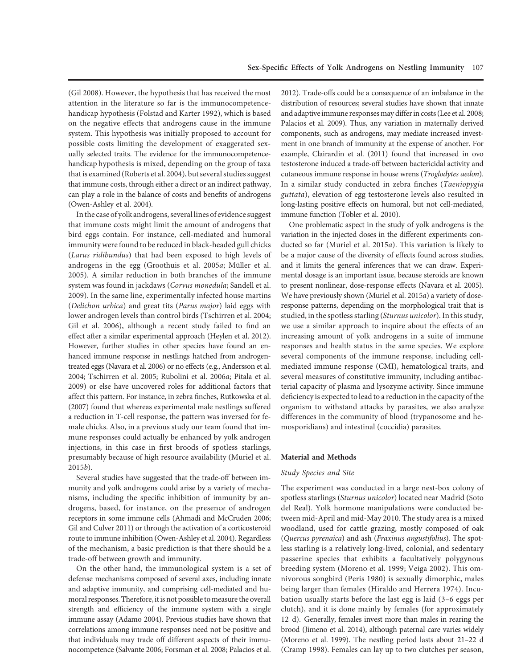(Gil 2008). However, the hypothesis that has received the most attention in the literature so far is the immunocompetencehandicap hypothesis (Folstad and Karter 1992), which is based on the negative effects that androgens cause in the immune system. This hypothesis was initially proposed to account for possible costs limiting the development of exaggerated sexually selected traits. The evidence for the immunocompetencehandicap hypothesis is mixed, depending on the group of taxa that is examined (Roberts et al. 2004), but several studies suggest that immune costs, through either a direct or an indirect pathway, can play a role in the balance of costs and benefits of androgens (Owen-Ashley et al. 2004).

In the case of yolk androgens, several lines of evidence suggest that immune costs might limit the amount of androgens that bird eggs contain. For instance, cell-mediated and humoral immunity were found to be reduced in black-headed gull chicks (Larus ridibundus) that had been exposed to high levels of androgens in the egg (Groothuis et al. 2005a; Müller et al. 2005). A similar reduction in both branches of the immune system was found in jackdaws (Corvus monedula; Sandell et al. 2009). In the same line, experimentally infected house martins (Delichon urbica) and great tits (Parus major) laid eggs with lower androgen levels than control birds (Tschirren et al. 2004; Gil et al. 2006), although a recent study failed to find an effect after a similar experimental approach (Heylen et al. 2012). However, further studies in other species have found an enhanced immune response in nestlings hatched from androgentreated eggs (Navara et al. 2006) or no effects (e.g., Andersson et al. 2004; Tschirren et al. 2005; Rubolini et al. 2006a; Pitala et al. 2009) or else have uncovered roles for additional factors that affect this pattern. For instance, in zebra finches, Rutkowska et al. (2007) found that whereas experimental male nestlings suffered a reduction in T-cell response, the pattern was inversed for female chicks. Also, in a previous study our team found that immune responses could actually be enhanced by yolk androgen injections, in this case in first broods of spotless starlings, presumably because of high resource availability (Muriel et al. 2015b).

Several studies have suggested that the trade-off between immunity and yolk androgens could arise by a variety of mechanisms, including the specific inhibition of immunity by androgens, based, for instance, on the presence of androgen receptors in some immune cells (Ahmadi and McCruden 2006; Gil and Culver 2011) or through the activation of a corticosteroid route to immune inhibition (Owen-Ashley et al. 2004). Regardless of the mechanism, a basic prediction is that there should be a trade-off between growth and immunity.

On the other hand, the immunological system is a set of defense mechanisms composed of several axes, including innate and adaptive immunity, and comprising cell-mediated and humoral responses. Therefore, it is not possible to measure the overall strength and efficiency of the immune system with a single immune assay (Adamo 2004). Previous studies have shown that correlations among immune responses need not be positive and that individuals may trade off different aspects of their immunocompetence (Salvante 2006; Forsman et al. 2008; Palacios et al.

2012). Trade-offs could be a consequence of an imbalance in the distribution of resources; several studies have shown that innate and adaptive immune responsesmay differ in costs (Lee et al. 2008; Palacios et al. 2009). Thus, any variation in maternally derived components, such as androgens, may mediate increased investment in one branch of immunity at the expense of another. For example, Clairardin et al. (2011) found that increased in ovo testosterone induced a trade-off between bactericidal activity and cutaneous immune response in house wrens (Troglodytes aedon). In a similar study conducted in zebra finches (Taeniopygia guttata), elevation of egg testosterone levels also resulted in long-lasting positive effects on humoral, but not cell-mediated, immune function (Tobler et al. 2010).

One problematic aspect in the study of yolk androgens is the variation in the injected doses in the different experiments conducted so far (Muriel et al. 2015a). This variation is likely to be a major cause of the diversity of effects found across studies, and it limits the general inferences that we can draw. Experimental dosage is an important issue, because steroids are known to present nonlinear, dose-response effects (Navara et al. 2005). We have previously shown (Muriel et al. 2015a) a variety of doseresponse patterns, depending on the morphological trait that is studied, in the spotless starling (Sturnus unicolor). In this study, we use a similar approach to inquire about the effects of an increasing amount of yolk androgens in a suite of immune responses and health status in the same species. We explore several components of the immune response, including cellmediated immune response (CMI), hematological traits, and several measures of constitutive immunity, including antibacterial capacity of plasma and lysozyme activity. Since immune deficiency is expected to lead to a reduction in the capacity of the organism to withstand attacks by parasites, we also analyze differences in the community of blood (trypanosome and hemosporidians) and intestinal (coccidia) parasites.

# Material and Methods

## Study Species and Site

The experiment was conducted in a large nest-box colony of spotless starlings (Sturnus unicolor) located near Madrid (Soto del Real). Yolk hormone manipulations were conducted between mid-April and mid-May 2010. The study area is a mixed woodland, used for cattle grazing, mostly composed of oak (Quercus pyrenaica) and ash (Fraxinus angustifolius). The spotless starling is a relatively long-lived, colonial, and sedentary passerine species that exhibits a facultatively polygynous breeding system (Moreno et al. 1999; Veiga 2002). This omnivorous songbird (Peris 1980) is sexually dimorphic, males being larger than females (Hiraldo and Herrera 1974). Incubation usually starts before the last egg is laid (3–6 eggs per clutch), and it is done mainly by females (for approximately 12 d). Generally, females invest more than males in rearing the brood (Jimeno et al. 2014), although paternal care varies widely (Moreno et al. 1999). The nestling period lasts about 21–22 d (Cramp 1998). Females can lay up to two clutches per season,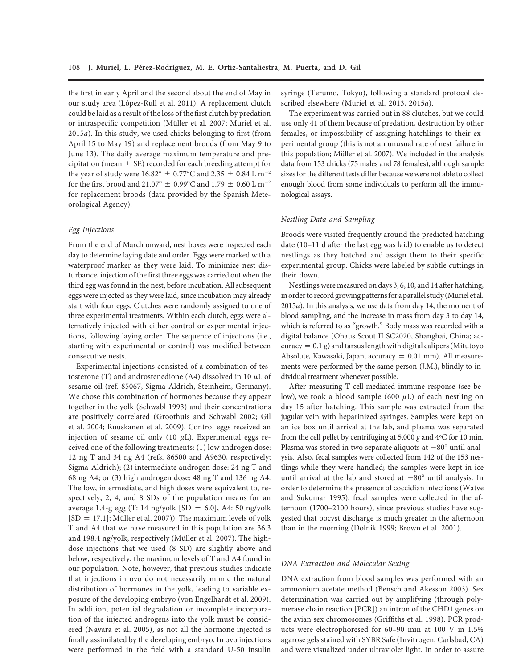the first in early April and the second about the end of May in our study area (López-Rull et al. 2011). A replacement clutch could be laid as a result of the loss of the first clutch by predation or intraspecific competition (Müller et al. 2007; Muriel et al. 2015a). In this study, we used chicks belonging to first (from April 15 to May 19) and replacement broods (from May 9 to June 13). The daily average maximum temperature and precipitation (mean  $\pm$  SE) recorded for each breeding attempt for the year of study were  $16.82^{\circ} \pm 0.77^{\circ}$ C and  $2.35 \pm 0.84$  L m<sup>-2</sup> for the first brood and 21.07°  $\pm$  0.99°C and 1.79  $\pm$  0.60 L m<sup>-2</sup> for replacement broods (data provided by the Spanish Meteorological Agency).

#### Egg Injections

From the end of March onward, nest boxes were inspected each day to determine laying date and order. Eggs were marked with a waterproof marker as they were laid. To minimize nest disturbance, injection of the first three eggs was carried out when the third egg was found in the nest, before incubation. All subsequent eggs were injected as they were laid, since incubation may already start with four eggs. Clutches were randomly assigned to one of three experimental treatments. Within each clutch, eggs were alternatively injected with either control or experimental injections, following laying order. The sequence of injections (i.e., starting with experimental or control) was modified between consecutive nests.

Experimental injections consisted of a combination of testosterone (T) and androstenedione (A4) dissolved in 10  $\mu$ L of sesame oil (ref. 85067, Sigma-Aldrich, Steinheim, Germany). We chose this combination of hormones because they appear together in the yolk (Schwabl 1993) and their concentrations are positively correlated (Groothuis and Schwabl 2002; Gil et al. 2004; Ruuskanen et al. 2009). Control eggs received an injection of sesame oil only (10  $\mu$ L). Experimental eggs received one of the following treatments: (1) low androgen dose: 12 ng T and 34 ng A4 (refs. 86500 and A9630, respectively; Sigma-Aldrich); (2) intermediate androgen dose: 24 ng T and 68 ng A4; or (3) high androgen dose: 48 ng T and 136 ng A4. The low, intermediate, and high doses were equivalent to, respectively, 2, 4, and 8 SDs of the population means for an average 1.4-g egg (T: 14 ng/yolk  $[SD = 6.0]$ , A4: 50 ng/yolk  $[SD = 17.1]$ ; Müller et al. 2007)). The maximum levels of yolk T and A4 that we have measured in this population are 36.3 and 198.4 ng/yolk, respectively (Müller et al. 2007). The highdose injections that we used (8 SD) are slightly above and below, respectively, the maximum levels of T and A4 found in our population. Note, however, that previous studies indicate that injections in ovo do not necessarily mimic the natural distribution of hormones in the yolk, leading to variable exposure of the developing embryo (von Engelhardt et al. 2009). In addition, potential degradation or incomplete incorporation of the injected androgens into the yolk must be considered (Navara et al. 2005), as not all the hormone injected is finally assimilated by the developing embryo. In ovo injections were performed in the field with a standard U-50 insulin

syringe (Terumo, Tokyo), following a standard protocol described elsewhere (Muriel et al. 2013, 2015a).

The experiment was carried out in 88 clutches, but we could use only 41 of them because of predation, destruction by other females, or impossibility of assigning hatchlings to their experimental group (this is not an unusual rate of nest failure in this population; Müller et al. 2007). We included in the analysis data from 153 chicks (75 males and 78 females), although sample sizes for the different tests differ because we were not able to collect enough blood from some individuals to perform all the immunological assays.

#### Nestling Data and Sampling

Broods were visited frequently around the predicted hatching date (10–11 d after the last egg was laid) to enable us to detect nestlings as they hatched and assign them to their specific experimental group. Chicks were labeled by subtle cuttings in their down.

Nestlings were measured on days 3, 6, 10, and 14 after hatching, in order to record growing patterns for a parallel study (Muriel et al. 2015a). In this analysis, we use data from day 14, the moment of blood sampling, and the increase in mass from day 3 to day 14, which is referred to as "growth." Body mass was recorded with a digital balance (Ohaus Scout II SC2020, Shanghai, China; accuracy =  $0.1$  g) and tarsus length with digital calipers (Mitutoyo Absolute, Kawasaki, Japan; accuracy  $= 0.01$  mm). All measurements were performed by the same person (J.M.), blindly to individual treatment whenever possible.

After measuring T-cell-mediated immune response (see below), we took a blood sample (600  $\mu$ L) of each nestling on day 15 after hatching. This sample was extracted from the jugular vein with heparinized syringes. Samples were kept on an ice box until arrival at the lab, and plasma was separated from the cell pellet by centrifuging at 5,000  $g$  and 4 $\degree$ C for 10 min. Plasma was stored in two separate aliquots at  $-80^\circ$  until analysis. Also, fecal samples were collected from 142 of the 153 nestlings while they were handled; the samples were kept in ice until arrival at the lab and stored at  $-80^\circ$  until analysis. In order to determine the presence of coccidian infections (Watve and Sukumar 1995), fecal samples were collected in the afternoon (1700–2100 hours), since previous studies have suggested that oocyst discharge is much greater in the afternoon than in the morning (Dolnik 1999; Brown et al. 2001).

#### DNA Extraction and Molecular Sexing

DNA extraction from blood samples was performed with an ammonium acetate method (Bensch and Akesson 2003). Sex determination was carried out by amplifying (through polymerase chain reaction [PCR]) an intron of the CHD1 genes on the avian sex chromosomes (Griffiths et al. 1998). PCR products were electrophoresed for 60–90 min at 100 V in 1.5% agarose gels stained with SYBR Safe (Invitrogen, Carlsbad, CA) and were visualized under ultraviolet light. In order to assure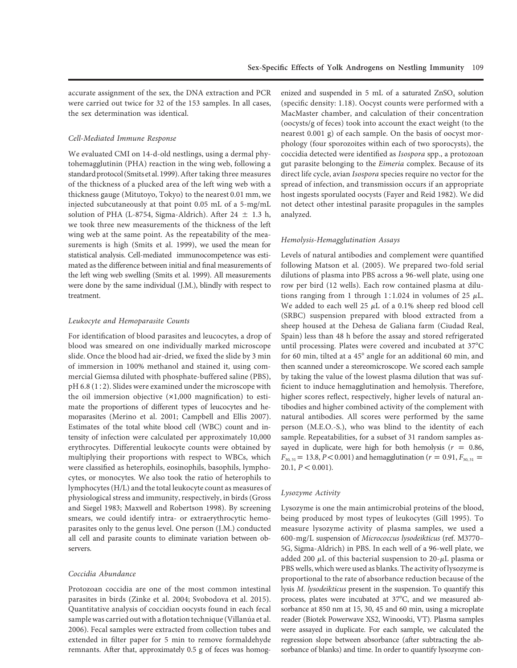accurate assignment of the sex, the DNA extraction and PCR were carried out twice for 32 of the 153 samples. In all cases, the sex determination was identical.

# Cell-Mediated Immune Response

We evaluated CMI on 14-d-old nestlings, using a dermal phytohemagglutinin (PHA) reaction in the wing web, following a standard protocol (Smits et al.1999).After taking three measures of the thickness of a plucked area of the left wing web with a thickness gauge (Mitutoyo, Tokyo) to the nearest 0.01 mm, we injected subcutaneously at that point 0.05 mL of a 5-mg/mL solution of PHA (L-8754, Sigma-Aldrich). After  $24 \pm 1.3$  h, we took three new measurements of the thickness of the left wing web at the same point. As the repeatability of the measurements is high (Smits et al. 1999), we used the mean for statistical analysis. Cell-mediated immunocompetence was estimated as the difference between initial and final measurements of the left wing web swelling (Smits et al. 1999). All measurements were done by the same individual (J.M.), blindly with respect to treatment.

#### Leukocyte and Hemoparasite Counts

For identification of blood parasites and leucocytes, a drop of blood was smeared on one individually marked microscope slide. Once the blood had air-dried, we fixed the slide by 3 min of immersion in 100% methanol and stained it, using commercial Giemsa diluted with phosphate-buffered saline (PBS), pH 6.8 (1∶2). Slides were examined under the microscope with the oil immersion objective  $(x1,000)$  magnification) to estimate the proportions of different types of leucocytes and hemoparasites (Merino et al. 2001; Campbell and Ellis 2007). Estimates of the total white blood cell (WBC) count and intensity of infection were calculated per approximately 10,000 erythrocytes. Differential leukocyte counts were obtained by multiplying their proportions with respect to WBCs, which were classified as heterophils, eosinophils, basophils, lymphocytes, or monocytes. We also took the ratio of heterophils to lymphocytes (H/L) and the total leukocyte count as measures of physiological stress and immunity, respectively, in birds (Gross and Siegel 1983; Maxwell and Robertson 1998). By screening smears, we could identify intra- or extraerythrocytic hemoparasites only to the genus level. One person (J.M.) conducted all cell and parasite counts to eliminate variation between observers.

## Coccidia Abundance

Protozoan coccidia are one of the most common intestinal parasites in birds (Zinke et al. 2004; Svobodova et al. 2015). Quantitative analysis of coccidian oocysts found in each fecal sample was carried out with a flotation technique (Villanúa et al. 2006). Fecal samples were extracted from collection tubes and extended in filter paper for 5 min to remove formaldehyde remnants. After that, approximately 0.5 g of feces was homogenized and suspended in 5 mL of a saturated  $ZnSO<sub>4</sub>$  solution (specific density: 1.18). Oocyst counts were performed with a MacMaster chamber, and calculation of their concentration (oocysts/g of feces) took into account the exact weight (to the nearest 0.001 g) of each sample. On the basis of oocyst morphology (four sporozoites within each of two sporocysts), the coccidia detected were identified as Isospora spp., a protozoan gut parasite belonging to the Eimeria complex. Because of its direct life cycle, avian Isospora species require no vector for the spread of infection, and transmission occurs if an appropriate host ingests sporulated oocysts (Fayer and Reid 1982). We did not detect other intestinal parasite propagules in the samples analyzed.

#### Hemolysis-Hemagglutination Assays

Levels of natural antibodies and complement were quantified following Matson et al. (2005). We prepared two-fold serial dilutions of plasma into PBS across a 96-well plate, using one row per bird (12 wells). Each row contained plasma at dilutions ranging from 1 through 1:1.024 in volumes of 25  $\mu$ L. We added to each well 25  $\mu$ L of a 0.1% sheep red blood cell (SRBC) suspension prepared with blood extracted from a sheep housed at the Dehesa de Galiana farm (Ciudad Real, Spain) less than 48 h before the assay and stored refrigerated until processing. Plates were covered and incubated at  $37^{\circ}$ C for 60 min, tilted at a 45° angle for an additional 60 min, and then scanned under a stereomicroscope. We scored each sample by taking the value of the lowest plasma dilution that was sufficient to induce hemagglutination and hemolysis. Therefore, higher scores reflect, respectively, higher levels of natural antibodies and higher combined activity of the complement with natural antibodies. All scores were performed by the same person (M.E.O.-S.), who was blind to the identity of each sample. Repeatabilities, for a subset of 31 random samples assayed in duplicate, were high for both hemolysis ( $r = 0.86$ ,  $F_{30, 31} = 13.8, P < 0.001$ ) and hemagglutination ( $r = 0.91, F_{30, 31} =$ 20.1,  $P < 0.001$ ).

#### Lysozyme Activity

Lysozyme is one the main antimicrobial proteins of the blood, being produced by most types of leukocytes (Gill 1995). To measure lysozyme activity of plasma samples, we used a 600-mg/L suspension of Micrococcus lysodeikticus (ref. M3770– 5G, Sigma-Aldrich) in PBS. In each well of a 96-well plate, we added 200  $\mu$ L of this bacterial suspension to 20- $\mu$ L plasma or PBS wells, which were used as blanks. The activity of lysozyme is proportional to the rate of absorbance reduction because of the lysis M. lysodeikticus present in the suspension. To quantify this process, plates were incubated at 37°C, and we measured absorbance at 850 nm at 15, 30, 45 and 60 min, using a microplate reader (Biotek Powerwave XS2, Winooski, VT). Plasma samples were assayed in duplicate. For each sample, we calculated the regression slope between absorbance (after subtracting the absorbance of blanks) and time. In order to quantify lysozyme con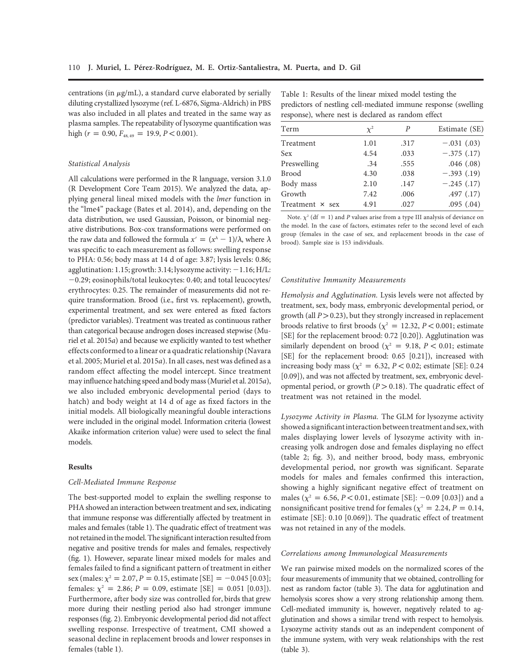centrations (in  $\mu$ g/mL), a standard curve elaborated by serially diluting crystallized lysozyme (ref. L-6876, Sigma-Aldrich) in PBS was also included in all plates and treated in the same way as plasma samples. The repeatability of lysozyme quantification was high ( $r = 0.90$ ,  $F_{48, 49} = 19.9$ ,  $P < 0.001$ ).

#### Statistical Analysis

All calculations were performed in the R language, version 3.1.0 (R Development Core Team 2015). We analyzed the data, applying general lineal mixed models with the lmer function in the "lme4" package (Bates et al. 2014), and, depending on the data distribution, we used Gaussian, Poisson, or binomial negative distributions. Box-cox transformations were performed on the raw data and followed the formula  $x' = (x^{\lambda} - 1)/\lambda$ , where  $\lambda$ was specific to each measurement as follows: swelling response to PHA: 0.56; body mass at 14 d of age: 3.87; lysis levels: 0.86; agglutination: 1.15; growth: 3.14; lysozyme activity:  $-1.16$ ; H/L:  $-0.29$ ; eosinophils/total leukocytes: 0.40; and total leucocytes/ erythrocytes: 0.25. The remainder of measurements did not require transformation. Brood (i.e., first vs. replacement), growth, experimental treatment, and sex were entered as fixed factors (predictor variables). Treatment was treated as continuous rather than categorical because androgen doses increased stepwise (Muriel et al. 2015a) and because we explicitly wanted to test whether effects conformed to a linear or a quadratic relationship (Navara et al. 2005; Muriel et al. 2015a). In all cases, nest was defined as a random effect affecting the model intercept. Since treatment may influence hatching speed and body mass (Muriel et al. 2015a), we also included embryonic developmental period (days to hatch) and body weight at 14 d of age as fixed factors in the initial models. All biologically meaningful double interactions were included in the original model. Information criteria (lowest Akaike information criterion value) were used to select the final models.

#### Results

#### Cell-Mediated Immune Response

The best-supported model to explain the swelling response to PHA showed an interaction between treatment and sex, indicating that immune response was differentially affected by treatment in males and females (table 1). The quadratic effect of treatment was not retained in the model. The significant interaction resulted from negative and positive trends for males and females, respectively (fig. 1). However, separate linear mixed models for males and females failed to find a significant pattern of treatment in either sex (males:  $\chi^2 = 2.07$ , P = 0.15, estimate [SE] = -0.045 [0.03]; females:  $\chi^2 = 2.86$ ; P = 0.09, estimate [SE] = 0.051 [0.03]). Furthermore, after body size was controlled for, birds that grew more during their nestling period also had stronger immune responses (fig. 2). Embryonic developmental period did not affect swelling response. Irrespective of treatment, CMI showed a seasonal decline in replacement broods and lower responses in females (table 1).

| response), where nest is declared as random effect |          |      |                                 |  |  |
|----------------------------------------------------|----------|------|---------------------------------|--|--|
| Term                                               | $\chi^2$ | P    | Estimate (SE)                   |  |  |
| Treatment                                          | 1.01     | .317 | $-.031(.03)$                    |  |  |
| Sex.                                               | 4.54     | .033 | $-.375(.17)$                    |  |  |
| Preswelling                                        | .34      | .555 | .046(.08)                       |  |  |
| <b>Brood</b>                                       | 4.30     | .038 | $-.393(.19)$                    |  |  |
| Body mass                                          | 2.10     | .147 | $-.245(.17)$                    |  |  |
| Growth                                             | 7.42     | .006 | .497(.17)                       |  |  |
|                                                    |          |      | $\alpha \alpha = \alpha \alpha$ |  |  |

Table 1: Results of the linear mixed model testing the predictors of nestling cell-mediated immune response (swelling

Treatment  $\times$  sex 4.91 .027 .095 (.04) Note.  $\chi^2$  (df = 1) and P values arise from a type III analysis of deviance on the model. In the case of factors, estimates refer to the second level of each group (females in the case of sex, and replacement broods in the case of

#### Constitutive Immunity Measurements

brood). Sample size is 153 individuals.

Hemolysis and Agglutination. Lysis levels were not affected by treatment, sex, body mass, embryonic developmental period, or growth (all  $P > 0.23$ ), but they strongly increased in replacement broods relative to first broods ( $\chi^2 = 12.32$ ,  $P < 0.001$ ; estimate [SE] for the replacement brood: 0.72 [0.20]). Agglutination was similarly dependent on brood ( $\chi^2 = 9.18$ ,  $P < 0.01$ ; estimate [SE] for the replacement brood: 0.65 [0.21]), increased with increasing body mass ( $\chi^2 = 6.32$ ,  $P < 0.02$ ; estimate [SE]: 0.24 [0.09]), and was not affected by treatment, sex, embryonic developmental period, or growth  $(P > 0.18)$ . The quadratic effect of treatment was not retained in the model.

Lysozyme Activity in Plasma. The GLM for lysozyme activity showed a significant interaction between treatment and sex, with males displaying lower levels of lysozyme activity with increasing yolk androgen dose and females displaying no effect (table 2; fig. 3), and neither brood, body mass, embryonic developmental period, nor growth was significant. Separate models for males and females confirmed this interaction, showing a highly significant negative effect of treatment on males ( $\chi^2 = 6.56$ , P < 0.01, estimate [SE]: -0.09 [0.03]) and a nonsignificant positive trend for females ( $\chi^2 = 2.24$ ,  $P = 0.14$ , estimate [SE]: 0.10 [0.069]). The quadratic effect of treatment was not retained in any of the models.

#### Correlations among Immunological Measurements

We ran pairwise mixed models on the normalized scores of the four measurements of immunity that we obtained, controlling for nest as random factor (table 3). The data for agglutination and hemolysis scores show a very strong relationship among them. Cell-mediated immunity is, however, negatively related to agglutination and shows a similar trend with respect to hemolysis. Lysozyme activity stands out as an independent component of the immune system, with very weak relationships with the rest (table 3).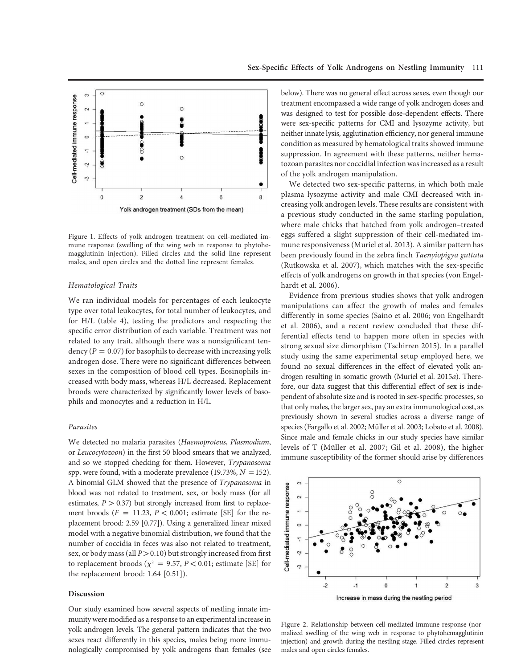

Figure 1. Effects of yolk androgen treatment on cell-mediated immune response (swelling of the wing web in response to phytohemagglutinin injection). Filled circles and the solid line represent males, and open circles and the dotted line represent females.

#### Hematological Traits

We ran individual models for percentages of each leukocyte type over total leukocytes, for total number of leukocytes, and for H/L (table 4), testing the predictors and respecting the specific error distribution of each variable. Treatment was not related to any trait, although there was a nonsignificant tendency ( $P = 0.07$ ) for basophils to decrease with increasing yolk androgen dose. There were no significant differences between sexes in the composition of blood cell types. Eosinophils increased with body mass, whereas H/L decreased. Replacement broods were characterized by significantly lower levels of basophils and monocytes and a reduction in H/L.

#### Parasites

We detected no malaria parasites (Haemoproteus, Plasmodium, or Leucocytozoon) in the first 50 blood smears that we analyzed, and so we stopped checking for them. However, Trypanosoma spp. were found, with a moderate prevalence (19.73%,  $N = 152$ ). A binomial GLM showed that the presence of Trypanosoma in blood was not related to treatment, sex, or body mass (for all estimates,  $P > 0.37$ ) but strongly increased from first to replacement broods ( $F = 11.23$ ,  $P < 0.001$ ; estimate [SE] for the replacement brood: 2.59 [0.77]). Using a generalized linear mixed model with a negative binomial distribution, we found that the number of coccidia in feces was also not related to treatment, sex, or body mass (all  $P > 0.10$ ) but strongly increased from first to replacement broods ( $\chi^2 = 9.57$ ,  $P < 0.01$ ; estimate [SE] for the replacement brood: 1.64 [0.51]).

#### Discussion

Our study examined how several aspects of nestling innate immunity were modified as a response to an experimental increase in yolk androgen levels. The general pattern indicates that the two sexes react differently in this species, males being more immunologically compromised by yolk androgens than females (see below). There was no general effect across sexes, even though our treatment encompassed a wide range of yolk androgen doses and was designed to test for possible dose-dependent effects. There were sex-specific patterns for CMI and lysozyme activity, but neither innate lysis, agglutination efficiency, nor general immune condition as measured by hematological traits showed immune suppression. In agreement with these patterns, neither hematozoan parasites nor coccidial infection was increased as a result of the yolk androgen manipulation.

We detected two sex-specific patterns, in which both male plasma lysozyme activity and male CMI decreased with increasing yolk androgen levels. These results are consistent with a previous study conducted in the same starling population, where male chicks that hatched from yolk androgen–treated eggs suffered a slight suppression of their cell-mediated immune responsiveness (Muriel et al. 2013). A similar pattern has been previously found in the zebra finch Taenyiopigya guttata (Rutkowska et al. 2007), which matches with the sex-specific effects of yolk androgens on growth in that species (von Engelhardt et al. 2006).

Evidence from previous studies shows that yolk androgen manipulations can affect the growth of males and females differently in some species (Saino et al. 2006; von Engelhardt et al. 2006), and a recent review concluded that these differential effects tend to happen more often in species with strong sexual size dimorphism (Tschirren 2015). In a parallel study using the same experimental setup employed here, we found no sexual differences in the effect of elevated yolk androgen resulting in somatic growth (Muriel et al. 2015a). Therefore, our data suggest that this differential effect of sex is independent of absolute size and is rooted in sex-specific processes, so that only males, the larger sex, pay an extra immunological cost, as previously shown in several studies across a diverse range of species (Fargallo et al. 2002; Müller et al. 2003; Lobato et al. 2008). Since male and female chicks in our study species have similar levels of T (Müller et al. 2007; Gil et al. 2008), the higher immune susceptibility of the former should arise by differences



Figure 2. Relationship between cell-mediated immune response (normalized swelling of the wing web in response to phytohemagglutinin injection) and growth during the nestling stage. Filled circles represent males and open circles females.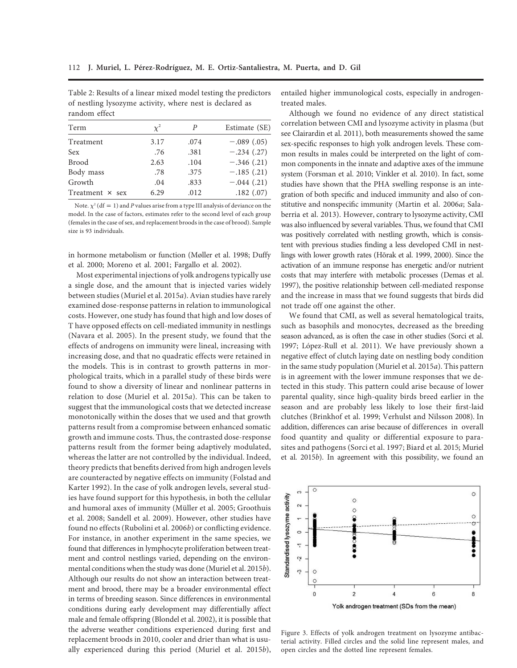Table 2: Results of a linear mixed model testing the predictors of nestling lysozyme activity, where nest is declared as random effect

| Term                   | $\chi^2$ | P    | Estimate (SE) |
|------------------------|----------|------|---------------|
| Treatment              | 3.17     | .074 | $-.089(.05)$  |
| <b>Sex</b>             | .76      | .381 | $-.234(.27)$  |
| <b>Brood</b>           | 2.63     | .104 | $-.346(.21)$  |
| Body mass              | .78      | .375 | $-.185(.21)$  |
| Growth                 | .04      | .833 | $-.044(.21)$  |
| Treatment $\times$ sex | 6.29     | .012 | .182(.07)     |

Note.  $\chi^2$  (df = 1) and P values arise from a type III analysis of deviance on the model. In the case of factors, estimates refer to the second level of each group (females in the case of sex, and replacement broods in the case of brood). Sample size is 93 individuals.

in hormone metabolism or function (Møller et al. 1998; Duffy et al. 2000; Moreno et al. 2001; Fargallo et al. 2002).

Most experimental injections of yolk androgens typically use a single dose, and the amount that is injected varies widely between studies (Muriel et al. 2015a). Avian studies have rarely examined dose-response patterns in relation to immunological costs. However, one study has found that high and low doses of T have opposed effects on cell-mediated immunity in nestlings (Navara et al. 2005). In the present study, we found that the effects of androgens on immunity were lineal, increasing with increasing dose, and that no quadratic effects were retained in the models. This is in contrast to growth patterns in morphological traits, which in a parallel study of these birds were found to show a diversity of linear and nonlinear patterns in relation to dose (Muriel et al. 2015a). This can be taken to suggest that the immunological costs that we detected increase monotonically within the doses that we used and that growth patterns result from a compromise between enhanced somatic growth and immune costs. Thus, the contrasted dose-response patterns result from the former being adaptively modulated, whereas the latter are not controlled by the individual. Indeed, theory predicts that benefits derived from high androgen levels are counteracted by negative effects on immunity (Folstad and Karter 1992). In the case of yolk androgen levels, several studies have found support for this hypothesis, in both the cellular and humoral axes of immunity (Müller et al. 2005; Groothuis et al. 2008; Sandell et al. 2009). However, other studies have found no effects (Rubolini et al. 2006b) or conflicting evidence. For instance, in another experiment in the same species, we found that differences in lymphocyte proliferation between treatment and control nestlings varied, depending on the environmental conditions when the study was done (Muriel et al. 2015b). Although our results do not show an interaction between treatment and brood, there may be a broader environmental effect in terms of breeding season. Since differences in environmental conditions during early development may differentially affect male and female offspring (Blondel et al. 2002), it is possible that the adverse weather conditions experienced during first and replacement broods in 2010, cooler and drier than what is usually experienced during this period (Muriel et al. 2015b),

entailed higher immunological costs, especially in androgentreated males.

Although we found no evidence of any direct statistical correlation between CMI and lysozyme activity in plasma (but see Clairardin et al. 2011), both measurements showed the same sex-specific responses to high yolk androgen levels. These common results in males could be interpreted on the light of common components in the innate and adaptive axes of the immune system (Forsman et al. 2010; Vinkler et al. 2010). In fact, some studies have shown that the PHA swelling response is an integration of both specific and induced immunity and also of constitutive and nonspecific immunity (Martin et al. 2006a; Salaberria et al. 2013). However, contrary to lysozyme activity, CMI was also influenced by several variables. Thus, we found that CMI was positively correlated with nestling growth, which is consistent with previous studies finding a less developed CMI in nestlings with lower growth rates (Hõrak et al. 1999, 2000). Since the activation of an immune response has energetic and/or nutrient costs that may interfere with metabolic processes (Demas et al. 1997), the positive relationship between cell-mediated response and the increase in mass that we found suggests that birds did not trade off one against the other.

We found that CMI, as well as several hematological traits, such as basophils and monocytes, decreased as the breeding season advanced, as is often the case in other studies (Sorci et al. 1997; López-Rull et al. 2011). We have previously shown a negative effect of clutch laying date on nestling body condition in the same study population (Muriel et al. 2015a). This pattern is in agreement with the lower immune responses that we detected in this study. This pattern could arise because of lower parental quality, since high-quality birds breed earlier in the season and are probably less likely to lose their first-laid clutches (Brinkhof et al. 1999; Verhulst and Nilsson 2008). In addition, differences can arise because of differences in overall food quantity and quality or differential exposure to parasites and pathogens (Sorci et al. 1997; Biard et al. 2015; Muriel et al. 2015b). In agreement with this possibility, we found an



Figure 3. Effects of yolk androgen treatment on lysozyme antibacterial activity. Filled circles and the solid line represent males, and open circles and the dotted line represent females.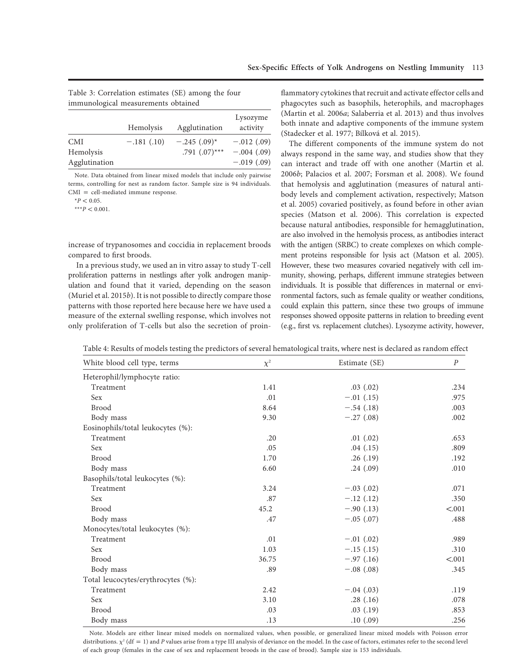| immunological measurements obtained |              |                  |                      |  |  |  |  |
|-------------------------------------|--------------|------------------|----------------------|--|--|--|--|
|                                     | Hemolysis    | Agglutination    | Lysozyme<br>activity |  |  |  |  |
| <b>CMI</b>                          | $-.181(.10)$ | $-.245(.09)^*$   | $-.012(.09)$         |  |  |  |  |
| Hemolysis                           |              | $.791 (.07)$ *** | $-.004(.09)$         |  |  |  |  |
| Agglutination                       |              |                  | $-.019(.09)$         |  |  |  |  |

Table 3: Correlation estimates (SE) among the four

Note. Data obtained from linear mixed models that include only pairwise terms, controlling for nest as random factor. Sample size is 94 individuals.  $CMI = cell-mediated immune response.$ 

 $*P < 0.05$ .

 $***P < 0.001$ .

increase of trypanosomes and coccidia in replacement broods compared to first broods.

In a previous study, we used an in vitro assay to study T-cell proliferation patterns in nestlings after yolk androgen manipulation and found that it varied, depending on the season (Muriel et al. 2015b). It is not possible to directly compare those patterns with those reported here because here we have used a measure of the external swelling response, which involves not only proliferation of T-cells but also the secretion of proinflammatory cytokines that recruit and activate effector cells and phagocytes such as basophils, heterophils, and macrophages (Martin et al. 2006a; Salaberria et al. 2013) and thus involves both innate and adaptive components of the immune system (Stadecker et al. 1977; Bílková et al. 2015).

The different components of the immune system do not always respond in the same way, and studies show that they can interact and trade off with one another (Martin et al. 2006b; Palacios et al. 2007; Forsman et al. 2008). We found that hemolysis and agglutination (measures of natural antibody levels and complement activation, respectively; Matson et al. 2005) covaried positively, as found before in other avian species (Matson et al. 2006). This correlation is expected because natural antibodies, responsible for hemagglutination, are also involved in the hemolysis process, as antibodies interact with the antigen (SRBC) to create complexes on which complement proteins responsible for lysis act (Matson et al. 2005). However, these two measures covaried negatively with cell immunity, showing, perhaps, different immune strategies between individuals. It is possible that differences in maternal or environmental factors, such as female quality or weather conditions, could explain this pattern, since these two groups of immune responses showed opposite patterns in relation to breeding event (e.g., first vs. replacement clutches). Lysozyme activity, however,

Table 4: Results of models testing the predictors of several hematological traits, where nest is declared as random effect

| White blood cell type, terms       | $\chi^2$ | Estimate (SE)  | $\boldsymbol{P}$ |
|------------------------------------|----------|----------------|------------------|
| Heterophil/lymphocyte ratio:       |          |                |                  |
| Treatment                          | 1.41     | .03(.02)       | .234             |
| <b>Sex</b>                         | .01      | $-.01$ (.15)   | .975             |
| <b>Brood</b>                       | 8.64     | $-.54(.18)$    | .003             |
| Body mass                          | 9.30     | $-.27(.08)$    | .002             |
| Eosinophils/total leukocytes (%):  |          |                |                  |
| Treatment                          | .20      | $.01$ $(.02)$  | .653             |
| <b>Sex</b>                         | .05      | .04(.15)       | .809             |
| <b>Brood</b>                       | 1.70     | .26(.19)       | .192             |
| Body mass                          | 6.60     | .24(.09)       | .010             |
| Basophils/total leukocytes (%):    |          |                |                  |
| Treatment                          | 3.24     | $-.03$ (.02)   | .071             |
| <b>Sex</b>                         | .87      | $-.12$ $(.12)$ | .350             |
| <b>Brood</b>                       | 45.2     | $-.90(.13)$    | < .001           |
| Body mass                          | .47      | $-.05$ (.07)   | .488             |
| Monocytes/total leukocytes (%):    |          |                |                  |
| Treatment                          | .01      | $-.01$ (.02)   | .989             |
| <b>Sex</b>                         | 1.03     | $-.15(.15)$    | .310             |
| <b>Brood</b>                       | 36.75    | $-.97(.16)$    | < .001           |
| Body mass                          | .89      | $-.08(.08)$    | .345             |
| Total leucocytes/erythrocytes (%): |          |                |                  |
| Treatment                          | 2.42     | $-.04(.03)$    | .119             |
| Sex                                | 3.10     | .28(.16)       | .078             |
| <b>Brood</b>                       | .03      | .03(.19)       | .853             |
| Body mass                          | .13      | .10(.09)       | .256             |

Note. Models are either linear mixed models on normalized values, when possible, or generalized linear mixed models with Poisson error distributions.  $\chi^2$  (df = 1) and P values arise from a type III analysis of deviance on the model. In the case of factors, estimates refer to the second level of each group (females in the case of sex and replacement broods in the case of brood). Sample size is 153 individuals.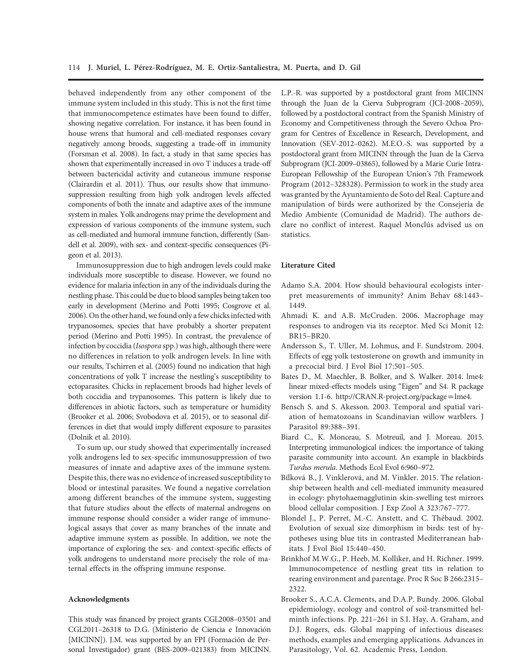behaved independently from any other component of the immune system included in this study. This is not the first time that immunocompetence estimates have been found to differ, showing negative correlation. For instance, it has been found in house wrens that humoral and cell-mediated responses covary negatively among broods, suggesting a trade-off in immunity (Forsman et al. 2008). In fact, a study in that same species has shown that experimentally increased in ovo T induces a trade-off between bactericidal activity and cutaneous immune response (Clairardin et al. 2011). Thus, our results show that immunosuppression resulting from high yolk androgen levels affected components of both the innate and adaptive axes of the immune system in males. Yolk androgens may prime the development and expression of various components of the immune system, such as cell-mediated and humoral immune function, differently (Sandell et al. 2009), with sex- and context-specific consequences (Pigeon et al. 2013).

Immunosuppression due to high androgen levels could make individuals more susceptible to disease. However, we found no evidence for malaria infection in any of the individuals during the nestling phase. This could be due to blood samples being taken too early in development (Merino and Potti 1995; Cosgrove et al. 2006). On the other hand, we found only a few chicks infected with trypanosomes, species that have probably a shorter prepatent period (Merino and Potti 1995). In contrast, the prevalence of infection by coccidia (Isospora spp.) was high, although there were no differences in relation to yolk androgen levels. In line with our results, Tschirren et al. (2005) found no indication that high concentrations of yolk T increase the nestling's susceptibility to ectoparasites. Chicks in replacement broods had higher levels of both coccidia and trypanosomes. This pattern is likely due to differences in abiotic factors, such as temperature or humidity (Brooker et al. 2006; Svobodova et al. 2015), or to seasonal differences in diet that would imply different exposure to parasites (Dolnik et al. 2010).

To sum up, our study showed that experimentally increased yolk androgens led to sex-specific immunosuppression of two measures of innate and adaptive axes of the immune system. Despite this, there was no evidence of increased susceptibility to blood or intestinal parasites. We found a negative correlation among different branches of the immune system, suggesting that future studies about the effects of maternal androgens on immune response should consider a wider range of immunological assays that cover as many branches of the innate and adaptive immune system as possible. In addition, we note the importance of exploring the sex- and context-specific effects of yolk androgens to understand more precisely the role of maternal effects in the offspring immune response.

## Acknowledgments

This study was financed by project grants CGL2008–03501 and CGL2011–26318 to D.G. (Ministerio de Ciencia e Innovación [MICINN]). J.M. was supported by an FPI (Formación de Personal Investigador) grant (BES-2009–021383) from MICINN. L.P.-R. was supported by a postdoctoral grant from MICINN through the Juan de la Cierva Subprogram (JCI-2008–2059), followed by a postdoctoral contract from the Spanish Ministry of Economy and Competitiveness through the Severo Ochoa Program for Centres of Excellence in Research, Development, and Innovation (SEV-2012–0262). M.E.O.-S. was supported by a postdoctoral grant from MICINN through the Juan de la Cierva Subprogram (JCI-2009–03865), followed by a Marie Curie Intra-European Fellowship of the European Union's 7th Framework Program (2012–328328). Permission to work in the study area was granted by the Ayuntamiento de Soto del Real. Capture and manipulation of birds were authorized by the Consejería de Medio Ambiente (Comunidad de Madrid). The authors declare no conflict of interest. Raquel Monclús advised us on statistics.

# Literature Cited

- Adamo S.A. 2004. How should behavioural ecologists interpret measurements of immunity? Anim Behav 68:1443– 1449.
- Ahmadi K. and A.B. McCruden. 2006. Macrophage may responses to androgen via its receptor. Med Sci Monit 12: BR15–BR20.
- Andersson S., T. Uller, M. Lohmus, and F. Sundstrom. 2004. Effects of egg yolk testosterone on growth and immunity in a precocial bird. J Evol Biol 17:501–505.
- Bates D., M. Maechler, B. Bolker, and S. Walker. 2014. lme4: linear mixed-effects models using "Eigen" and S4. R package version 1.1-6. http://CRAN.R-project.org/package=lme4.
- Bensch S. and S. Akesson. 2003. Temporal and spatial variation of hematozoans in Scandinavian willow warblers. J Parasitol 89:388–391.
- Biard C., K. Monceau, S. Motreuil, and J. Moreau. 2015. Interpreting immunological indices: the importance of taking parasite community into account. An example in blackbirds Turdus merula. Methods Ecol Evol 6:960–972.
- Bílková B., J. Vinklerová, and M. Vinkler. 2015. The relationship between health and cell-mediated immunity measured in ecology: phytohaemagglutinin skin-swelling test mirrors blood cellular composition. J Exp Zool A 323:767–777.
- Blondel J., P. Perret, M.-C. Anstett, and C. Thébaud. 2002. Evolution of sexual size dimorphism in birds: test of hypotheses using blue tits in contrasted Mediterranean habitats. J Evol Biol 15:440–450.
- Brinkhof M.W.G., P. Heeb, M. Kolliker, and H. Richner. 1999. Immunocompetence of nestling great tits in relation to rearing environment and parentage. Proc R Soc B 266:2315– 2322.
- Brooker S., A.C.A. Clements, and D.A.P. Bundy. 2006. Global epidemiology, ecology and control of soil-transmitted helminth infections. Pp. 221–261 in S.I. Hay, A. Graham, and D.J. Rogers, eds. Global mapping of infectious diseases: methods, examples and emerging applications. Advances in Parasitology, Vol. 62. Academic Press, London.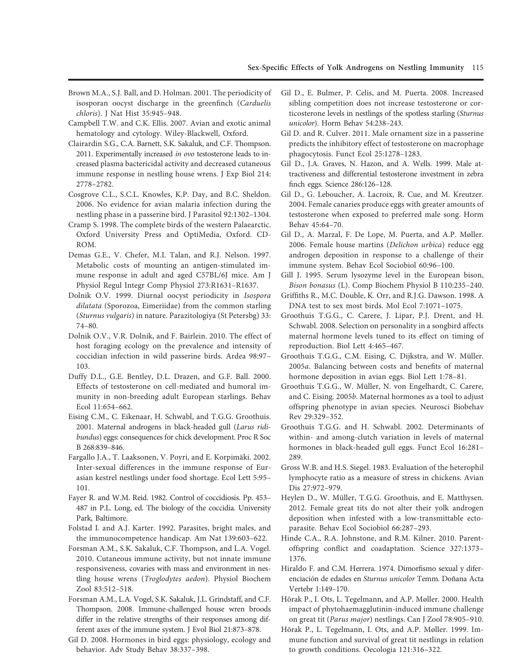- Brown M.A., S.J. Ball, and D. Holman. 2001. The periodicity of isosporan oocyst discharge in the greenfinch (Carduelis chloris). J Nat Hist 35:945–948.
- Campbell T.W. and C.K. Ellis. 2007. Avian and exotic animal hematology and cytology. Wiley-Blackwell, Oxford.
- Clairardin S.G., C.A. Barnett, S.K. Sakaluk, and C.F. Thompson. 2011. Experimentally increased in ovo testosterone leads to increased plasma bactericidal activity and decreased cutaneous immune response in nestling house wrens. J Exp Biol 214: 2778–2782.
- Cosgrove C.L., S.C.L. Knowles, K.P. Day, and B.C. Sheldon. 2006. No evidence for avian malaria infection during the nestling phase in a passerine bird. J Parasitol 92:1302–1304.
- Cramp S. 1998. The complete birds of the western Palaearctic. Oxford University Press and OptiMedia, Oxford. CD-ROM.
- Demas G.E., V. Chefer, M.I. Talan, and R.J. Nelson. 1997. Metabolic costs of mounting an antigen-stimulated immune response in adult and aged C57BL/6J mice. Am J Physiol Regul Integr Comp Physiol 273:R1631–R1637.
- Dolnik O.V. 1999. Diurnal oocyst periodicity in Isospora dilatata (Sporozoa, Eimeriidae) from the common starling (Sturnus vulgaris) in nature. Parazitologiya (St Petersbg) 33: 74–80.
- Dolnik O.V., V.R. Dolnik, and F. Bairlein. 2010. The effect of host foraging ecology on the prevalence and intensity of coccidian infection in wild passerine birds. Ardea 98:97– 103.
- Duffy D.L., G.E. Bentley, D.L. Drazen, and G.F. Ball. 2000. Effects of testosterone on cell-mediated and humoral immunity in non-breeding adult European starlings. Behav Ecol 11:654–662.
- Eising C.M., C. Eikenaar, H. Schwabl, and T.G.G. Groothuis. 2001. Maternal androgens in black-headed gull (Larus ridibundus) eggs: consequences for chick development. Proc R Soc B 268:839–846.
- Fargallo J.A., T. Laaksonen, V. Poyri, and E. Korpimäki. 2002. Inter-sexual differences in the immune response of Eurasian kestrel nestlings under food shortage. Ecol Lett 5:95– 101.
- Fayer R. and W.M. Reid. 1982. Control of coccidiosis. Pp. 453– 487 in P.L. Long, ed. The biology of the coccidia. University Park, Baltimore.
- Folstad I. and A.J. Karter. 1992. Parasites, bright males, and the immunocompetence handicap. Am Nat 139:603–622.
- Forsman A.M., S.K. Sakaluk, C.F. Thompson, and L.A. Vogel. 2010. Cutaneous immune activity, but not innate immune responsiveness, covaries with mass and environment in nestling house wrens (Troglodytes aedon). Physiol Biochem Zool 83:512–518.
- Forsman A.M., L.A. Vogel, S.K. Sakaluk, J.L. Grindstaff, and C.F. Thompson. 2008. Immune-challenged house wren broods differ in the relative strengths of their responses among different axes of the immune system. J Evol Biol 21:873–878.
- Gil D. 2008. Hormones in bird eggs: physiology, ecology and behavior. Adv Study Behav 38:337–398.
- Gil D., E. Bulmer, P. Celis, and M. Puerta. 2008. Increased sibling competition does not increase testosterone or corticosterone levels in nestlings of the spotless starling (Sturnus unicolor). Horm Behav 54:238–243.
- Gil D. and R. Culver. 2011. Male ornament size in a passerine predicts the inhibitory effect of testosterone on macrophage phagocytosis. Funct Ecol 25:1278–1283.
- Gil D., J.A. Graves, N. Hazon, and A. Wells. 1999. Male attractiveness and differential testosterone investment in zebra finch eggs. Science 286:126–128.
- Gil D., G. Leboucher, A. Lacroix, R. Cue, and M. Kreutzer. 2004. Female canaries produce eggs with greater amounts of testosterone when exposed to preferred male song. Horm Behav 45:64–70.
- Gil D., A. Marzal, F. De Lope, M. Puerta, and A.P. Møller. 2006. Female house martins (Delichon urbica) reduce egg androgen deposition in response to a challenge of their immune system. Behav Ecol Sociobiol 60:96–100.
- Gill J. 1995. Serum lysozyme level in the European bison, Bison bonasus (L). Comp Biochem Physiol B 110:235–240.
- Griffiths R., M.C. Double, K. Orr, and R.J.G. Dawson. 1998. A DNA test to sex most birds. Mol Ecol 7:1071–1075.
- Groothuis T.G.G., C. Carere, J. Lipar, P.J. Drent, and H. Schwabl. 2008. Selection on personality in a songbird affects maternal hormone levels tuned to its effect on timing of reproduction. Biol Lett 4:465–467.
- Groothuis T.G.G., C.M. Eising, C. Dijkstra, and W. Müller. 2005a. Balancing between costs and benefits of maternal hormone deposition in avian eggs. Biol Lett 1:78–81.
- Groothuis T.G.G., W. Müller, N. von Engelhardt, C. Carere, and C. Eising. 2005b. Maternal hormones as a tool to adjust offspring phenotype in avian species. Neurosci Biobehav Rev 29:329–352.
- Groothuis T.G.G. and H. Schwabl. 2002. Determinants of within- and among-clutch variation in levels of maternal hormones in black-headed gull eggs. Funct Ecol 16:281– 289.
- Gross W.B. and H.S. Siegel. 1983. Evaluation of the heterophil lymphocyte ratio as a measure of stress in chickens. Avian Dis 27:972–979.
- Heylen D., W. Müller, T.G.G. Groothuis, and E. Matthysen. 2012. Female great tits do not alter their yolk androgen deposition when infested with a low-transmittable ectoparasite. Behav Ecol Sociobiol 66:287–293.
- Hinde C.A., R.A. Johnstone, and R.M. Kilner. 2010. Parentoffspring conflict and coadaptation. Science 327:1373– 1376.
- Hiraldo F. and C.M. Herrera. 1974. Dimorfismo sexual y diferenciación de edades en Sturnus unicolor Temm. Doñana Acta Vertebr 1:149–170.
- Hõrak P., I. Ots, L. Tegelmann, and A.P. Møller. 2000. Health impact of phytohaemagglutinin-induced immune challenge on great tit (Parus major) nestlings. Can J Zool 78:905–910.
- Hõrak P., L. Tegelmann, I. Ots, and A.P. Møller. 1999. Immune function and survival of great tit nestlings in relation to growth conditions. Oecologia 121:316–322.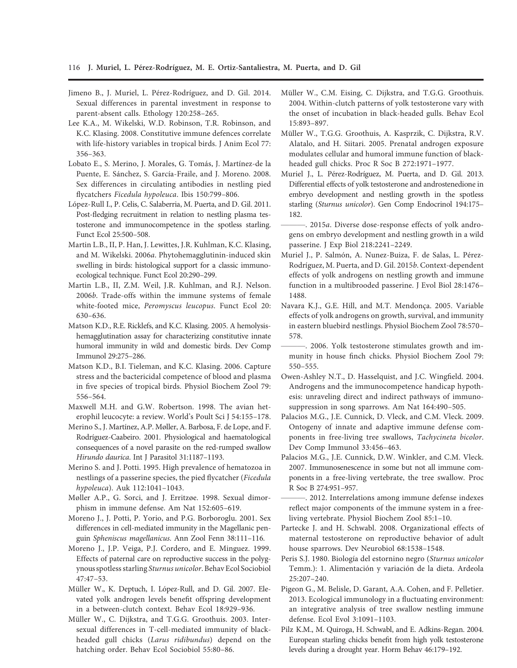- Jimeno B., J. Muriel, L. Pérez-Rodríguez, and D. Gil. 2014. Sexual differences in parental investment in response to parent-absent calls. Ethology 120:258–265.
- Lee K.A., M. Wikelski, W.D. Robinson, T.R. Robinson, and K.C. Klasing. 2008. Constitutive immune defences correlate with life-history variables in tropical birds. J Anim Ecol 77: 356–363.
- Lobato E., S. Merino, J. Morales, G. Tomás, J. Martínez-de la Puente, E. Sánchez, S. García-Fraile, and J. Moreno. 2008. Sex differences in circulating antibodies in nestling pied flycatchers Ficedula hypoleuca. Ibis 150:799–806.
- López-Rull I., P. Celis, C. Salaberria, M. Puerta, and D. Gil. 2011. Post-fledging recruitment in relation to nestling plasma testosterone and immunocompetence in the spotless starling. Funct Ecol 25:500–508.
- Martin L.B., II, P. Han, J. Lewittes, J.R. Kuhlman, K.C. Klasing, and M. Wikelski. 2006a. Phytohemagglutinin-induced skin swelling in birds: histological support for a classic immunoecological technique. Funct Ecol 20:290–299.
- Martin L.B., II, Z.M. Weil, J.R. Kuhlman, and R.J. Nelson. 2006b. Trade-offs within the immune systems of female white-footed mice, Peromyscus leucopus. Funct Ecol 20: 630–636.
- Matson K.D., R.E. Ricklefs, and K.C. Klasing. 2005. A hemolysishemagglutination assay for characterizing constitutive innate humoral immunity in wild and domestic birds. Dev Comp Immunol 29:275–286.
- Matson K.D., B.I. Tieleman, and K.C. Klasing. 2006. Capture stress and the bactericidal competence of blood and plasma in five species of tropical birds. Physiol Biochem Zool 79: 556–564.
- Maxwell M.H. and G.W. Robertson. 1998. The avian heterophil leucocyte: a review. World's Poult Sci J 54:155–178.
- Merino S., J. Martínez, A.P. Møller, A. Barbosa, F. de Lope, and F. Rodríguez-Caabeiro. 2001. Physiological and haematological consequences of a novel parasite on the red-rumped swallow Hirundo daurica. Int J Parasitol 31:1187–1193.
- Merino S. and J. Potti. 1995. High prevalence of hematozoa in nestlings of a passerine species, the pied flycatcher (Ficedula hypoleuca). Auk 112:1041–1043.
- Møller A.P., G. Sorci, and J. Erritzøe. 1998. Sexual dimorphism in immune defense. Am Nat 152:605–619.
- Moreno J., J. Potti, P. Yorio, and P.G. Borboroglu. 2001. Sex differences in cell-mediated immunity in the Magellanic penguin Spheniscus magellanicus. Ann Zool Fenn 38:111–116.
- Moreno J., J.P. Veiga, P.J. Cordero, and E. Minguez. 1999. Effects of paternal care on reproductive success in the polygynous spotless starling Sturnus unicolor. Behav Ecol Sociobiol 47:47–53.
- Müller W., K. Deptuch, I. López-Rull, and D. Gil. 2007. Elevated yolk androgen levels benefit offspring development in a between-clutch context. Behav Ecol 18:929–936.
- Müller W., C. Dijkstra, and T.G.G. Groothuis. 2003. Intersexual differences in T-cell-mediated immunity of blackheaded gull chicks (Larus ridibundus) depend on the hatching order. Behav Ecol Sociobiol 55:80–86.
- Müller W., C.M. Eising, C. Dijkstra, and T.G.G. Groothuis. 2004. Within-clutch patterns of yolk testosterone vary with the onset of incubation in black-headed gulls. Behav Ecol 15:893–897.
- Müller W., T.G.G. Groothuis, A. Kasprzik, C. Dijkstra, R.V. Alatalo, and H. Siitari. 2005. Prenatal androgen exposure modulates cellular and humoral immune function of blackheaded gull chicks. Proc R Soc B 272:1971–1977.
- Muriel J., L. Pérez-Rodríguez, M. Puerta, and D. Gil. 2013. Differential effects of yolk testosterone and androstenedione in embryo development and nestling growth in the spotless starling (Sturnus unicolor). Gen Comp Endocrinol 194:175– 182.
- -. 2015a. Diverse dose-response effects of yolk androgens on embryo development and nestling growth in a wild passerine. J Exp Biol 218:2241–2249.
- Muriel J., P. Salmón, A. Nunez-Buiza, F. de Salas, L. Pérez-Rodríguez, M. Puerta, and D. Gil. 2015b. Context-dependent effects of yolk androgens on nestling growth and immune function in a multibrooded passerine. J Evol Biol 28:1476– 1488.
- Navara K.J., G.E. Hill, and M.T. Mendonça. 2005. Variable effects of yolk androgens on growth, survival, and immunity in eastern bluebird nestlings. Physiol Biochem Zool 78:570– 578.
- -. 2006. Yolk testosterone stimulates growth and immunity in house finch chicks. Physiol Biochem Zool 79: 550–555.
- Owen-Ashley N.T., D. Hasselquist, and J.C. Wingfield. 2004. Androgens and the immunocompetence handicap hypothesis: unraveling direct and indirect pathways of immunosuppression in song sparrows. Am Nat 164:490–505.
- Palacios M.G., J.E. Cunnick, D. Vleck, and C.M. Vleck. 2009. Ontogeny of innate and adaptive immune defense components in free-living tree swallows, Tachycineta bicolor. Dev Comp Immunol 33:456–463.
- Palacios M.G., J.E. Cunnick, D.W. Winkler, and C.M. Vleck. 2007. Immunosenescence in some but not all immune components in a free-living vertebrate, the tree swallow. Proc R Soc B 274:951–957.
- -. 2012. Interrelations among immune defense indexes reflect major components of the immune system in a freeliving vertebrate. Physiol Biochem Zool 85:1–10.
- Partecke J. and H. Schwabl. 2008. Organizational effects of maternal testosterone on reproductive behavior of adult house sparrows. Dev Neurobiol 68:1538–1548.
- Peris S.J. 1980. Biología del estornino negro (Sturnus unicolor Temm.): 1. Alimentación y variación de la dieta. Ardeola 25:207–240.
- Pigeon G., M. Belisle, D. Garant, A.A. Cohen, and F. Pelletier. 2013. Ecological immunology in a fluctuating environment: an integrative analysis of tree swallow nestling immune defense. Ecol Evol 3:1091–1103.
- Pilz K.M., M. Quiroga, H. Schwabl, and E. Adkins-Regan. 2004. European starling chicks benefit from high yolk testosterone levels during a drought year. Horm Behav 46:179–192.